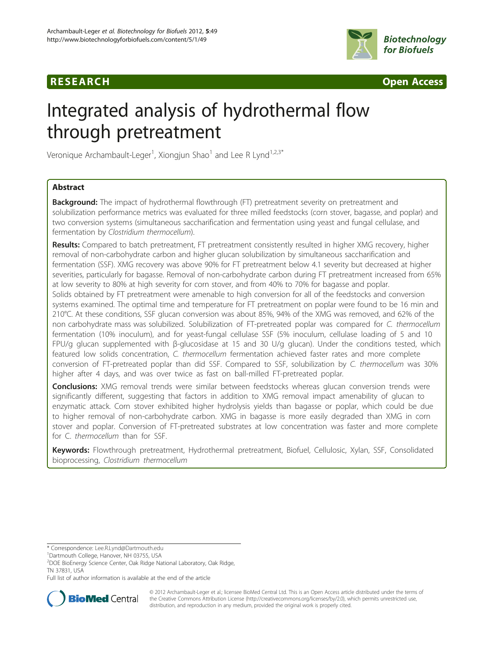



# Integrated analysis of hydrothermal flow through pretreatment

Veronique Archambault-Leger<sup>1</sup>, Xiongjun Shao<sup>1</sup> and Lee R Lynd<sup>1,2,3\*</sup>

# Abstract

**Background:** The impact of hydrothermal flowthrough (FT) pretreatment severity on pretreatment and solubilization performance metrics was evaluated for three milled feedstocks (corn stover, bagasse, and poplar) and two conversion systems (simultaneous saccharification and fermentation using yeast and fungal cellulase, and fermentation by Clostridium thermocellum).

Results: Compared to batch pretreatment, FT pretreatment consistently resulted in higher XMG recovery, higher removal of non-carbohydrate carbon and higher glucan solubilization by simultaneous saccharification and fermentation (SSF). XMG recovery was above 90% for FT pretreatment below 4.1 severity but decreased at higher severities, particularly for bagasse. Removal of non-carbohydrate carbon during FT pretreatment increased from 65% at low severity to 80% at high severity for corn stover, and from 40% to 70% for bagasse and poplar. Solids obtained by FT pretreatment were amenable to high conversion for all of the feedstocks and conversion systems examined. The optimal time and temperature for FT pretreatment on poplar were found to be 16 min and 210°C. At these conditions, SSF glucan conversion was about 85%, 94% of the XMG was removed, and 62% of the non carbohydrate mass was solubilized. Solubilization of FT-pretreated poplar was compared for C. thermocellum fermentation (10% inoculum), and for yeast-fungal cellulase SSF (5% inoculum, cellulase loading of 5 and 10 FPU/g glucan supplemented with β-glucosidase at 15 and 30 U/g glucan). Under the conditions tested, which featured low solids concentration, C. thermocellum fermentation achieved faster rates and more complete conversion of FT-pretreated poplar than did SSF. Compared to SSF, solubilization by C. thermocellum was 30% higher after 4 days, and was over twice as fast on ball-milled FT-pretreated poplar.

Conclusions: XMG removal trends were similar between feedstocks whereas glucan conversion trends were significantly different, suggesting that factors in addition to XMG removal impact amenability of glucan to enzymatic attack. Corn stover exhibited higher hydrolysis yields than bagasse or poplar, which could be due to higher removal of non-carbohydrate carbon. XMG in bagasse is more easily degraded than XMG in corn stover and poplar. Conversion of FT-pretreated substrates at low concentration was faster and more complete for C. thermocellum than for SSF.

Keywords: Flowthrough pretreatment, Hydrothermal pretreatment, Biofuel, Cellulosic, Xylan, SSF, Consolidated bioprocessing, Clostridium thermocellum

\* Correspondence: [Lee.R.Lynd@Dartmouth.edu](mailto:Lee.R.Lynd@Dartmouth.edu) <sup>1</sup>

<sup>1</sup>Dartmouth College, Hanover, NH 03755, USA

Full list of author information is available at the end of the article



© 2012 Archambault-Leger et al.; licensee BioMed Central Ltd. This is an Open Access article distributed under the terms of the Creative Commons Attribution License [\(http://creativecommons.org/licenses/by/2.0\)](http://creativecommons.org/licenses/by/2.0), which permits unrestricted use, distribution, and reproduction in any medium, provided the original work is properly cited.

<sup>2</sup> DOE BioEnergy Science Center, Oak Ridge National Laboratory, Oak Ridge, TN 37831, USA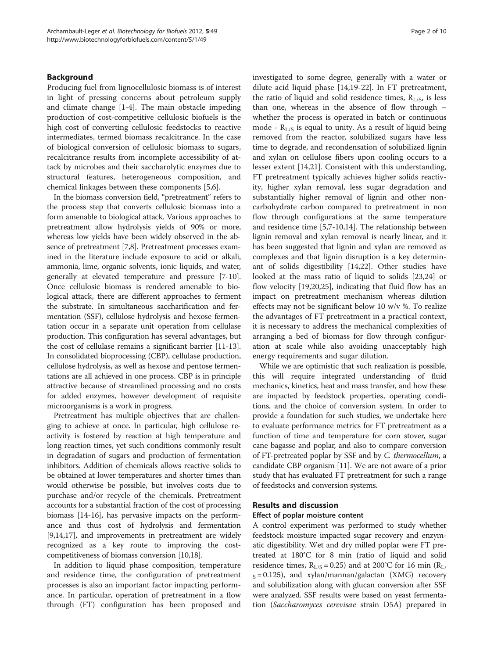# Background

Producing fuel from lignocellulosic biomass is of interest in light of pressing concerns about petroleum supply and climate change [\[1](#page-9-0)-[4\]](#page-9-0). The main obstacle impeding production of cost-competitive cellulosic biofuels is the high cost of converting cellulosic feedstocks to reactive intermediates, termed biomass recalcitrance. In the case of biological conversion of cellulosic biomass to sugars, recalcitrance results from incomplete accessibility of attack by microbes and their saccharolytic enzymes due to structural features, heterogeneous composition, and chemical linkages between these components [[5,6\]](#page-9-0).

In the biomass conversion field, "pretreatment" refers to the process step that converts cellulosic biomass into a form amenable to biological attack. Various approaches to pretreatment allow hydrolysis yields of 90% or more, whereas low yields have been widely observed in the absence of pretreatment [\[7,8\]](#page-9-0). Pretreatment processes examined in the literature include exposure to acid or alkali, ammonia, lime, organic solvents, ionic liquids, and water, generally at elevated temperature and pressure [\[7](#page-9-0)-[10](#page-9-0)]. Once cellulosic biomass is rendered amenable to biological attack, there are different approaches to ferment the substrate. In simultaneous saccharification and fermentation (SSF), cellulose hydrolysis and hexose fermentation occur in a separate unit operation from cellulase production. This configuration has several advantages, but the cost of cellulase remains a significant barrier [[11](#page-9-0)-[13](#page-9-0)]. In consolidated bioprocessing (CBP), cellulase production, cellulose hydrolysis, as well as hexose and pentose fermentations are all achieved in one process. CBP is in principle attractive because of streamlined processing and no costs for added enzymes, however development of requisite microorganisms is a work in progress.

Pretreatment has multiple objectives that are challenging to achieve at once. In particular, high cellulose reactivity is fostered by reaction at high temperature and long reaction times, yet such conditions commonly result in degradation of sugars and production of fermentation inhibitors. Addition of chemicals allows reactive solids to be obtained at lower temperatures and shorter times than would otherwise be possible, but involves costs due to purchase and/or recycle of the chemicals. Pretreatment accounts for a substantial fraction of the cost of processing biomass [\[14](#page-9-0)-[16](#page-9-0)], has pervasive impacts on the performance and thus cost of hydrolysis and fermentation [[9,14,17\]](#page-9-0), and improvements in pretreatment are widely recognized as a key route to improving the costcompetitiveness of biomass conversion [[10,18](#page-9-0)].

In addition to liquid phase composition, temperature and residence time, the configuration of pretreatment processes is also an important factor impacting performance. In particular, operation of pretreatment in a flow through (FT) configuration has been proposed and investigated to some degree, generally with a water or dilute acid liquid phase [\[14,19-22](#page-9-0)]. In FT pretreatment, the ratio of liquid and solid residence times,  $R_{L/S}$ , is less than one, whereas in the absence of flow through – whether the process is operated in batch or continuous mode -  $R_{L/S}$  is equal to unity. As a result of liquid being removed from the reactor, solubilized sugars have less time to degrade, and recondensation of solubilized lignin and xylan on cellulose fibers upon cooling occurs to a lesser extent [[14,21\]](#page-9-0). Consistent with this understanding, FT pretreatment typically achieves higher solids reactivity, higher xylan removal, less sugar degradation and substantially higher removal of lignin and other noncarbohydrate carbon compared to pretreatment in non flow through configurations at the same temperature and residence time [[5,7-10,14\]](#page-9-0). The relationship between lignin removal and xylan removal is nearly linear, and it has been suggested that lignin and xylan are removed as complexes and that lignin disruption is a key determinant of solids digestibility [[14,22](#page-9-0)]. Other studies have looked at the mass ratio of liquid to solids [\[23,24\]](#page-9-0) or flow velocity [\[19,20,25\]](#page-9-0), indicating that fluid flow has an impact on pretreatment mechanism whereas dilution effects may not be significant below 10 w/v %. To realize the advantages of FT pretreatment in a practical context, it is necessary to address the mechanical complexities of arranging a bed of biomass for flow through configuration at scale while also avoiding unacceptably high energy requirements and sugar dilution.

While we are optimistic that such realization is possible, this will require integrated understanding of fluid mechanics, kinetics, heat and mass transfer, and how these are impacted by feedstock properties, operating conditions, and the choice of conversion system. In order to provide a foundation for such studies, we undertake here to evaluate performance metrics for FT pretreatment as a function of time and temperature for corn stover, sugar cane bagasse and poplar, and also to compare conversion of FT-pretreated poplar by SSF and by C. thermocellum, a candidate CBP organism [\[11\]](#page-9-0). We are not aware of a prior study that has evaluated FT pretreatment for such a range of feedstocks and conversion systems.

## Results and discussion

## Effect of poplar moisture content

A control experiment was performed to study whether feedstock moisture impacted sugar recovery and enzymatic digestibility. Wet and dry milled poplar were FT pretreated at 180°C for 8 min (ratio of liquid and solid residence times,  $R_{L/S} = 0.25$ ) and at 200°C for 16 min ( $R_{L/F}$  $_S = 0.125$ ), and xylan/mannan/galactan (XMG) recovery and solubilization along with glucan conversion after SSF were analyzed. SSF results were based on yeast fermentation (Saccharomyces cerevisae strain D5A) prepared in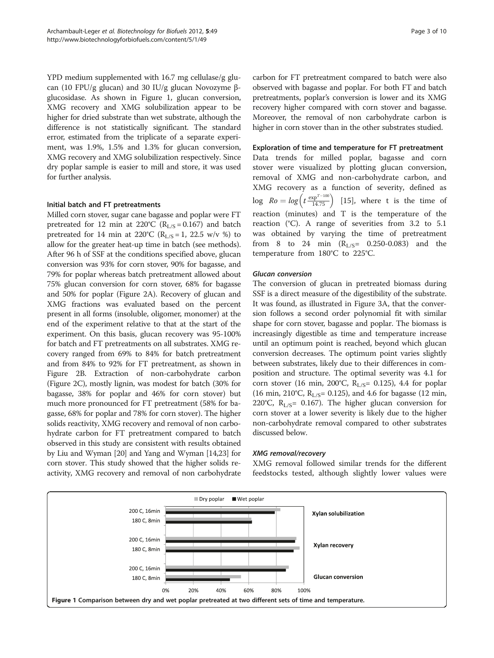<span id="page-2-0"></span>YPD medium supplemented with 16.7 mg cellulase/g glucan (10 FPU/g glucan) and 30 IU/g glucan Novozyme βglucosidase. As shown in Figure 1, glucan conversion, XMG recovery and XMG solubilization appear to be higher for dried substrate than wet substrate, although the difference is not statistically significant. The standard error, estimated from the triplicate of a separate experiment, was 1.9%, 1.5% and 1.3% for glucan conversion, XMG recovery and XMG solubilization respectively. Since dry poplar sample is easier to mill and store, it was used for further analysis.

# Initial batch and FT pretreatments

Milled corn stover, sugar cane bagasse and poplar were FT pretreated for 12 min at 220°C ( $R_{L/S} = 0.167$ ) and batch pretreated for 14 min at 220°C ( $R_{L/S}$  = 1, 22.5 w/v %) to allow for the greater heat-up time in batch (see methods). After 96 h of SSF at the conditions specified above, glucan conversion was 93% for corn stover, 90% for bagasse, and 79% for poplar whereas batch pretreatment allowed about 75% glucan conversion for corn stover, 68% for bagasse and 50% for poplar (Figure [2A\)](#page-3-0). Recovery of glucan and XMG fractions was evaluated based on the percent present in all forms (insoluble, oligomer, monomer) at the end of the experiment relative to that at the start of the experiment. On this basis, glucan recovery was 95-100% for batch and FT pretreatments on all substrates. XMG recovery ranged from 69% to 84% for batch pretreatment and from 84% to 92% for FT pretreatment, as shown in Figure [2B](#page-3-0). Extraction of non-carbohydrate carbon (Figure [2C\)](#page-3-0), mostly lignin, was modest for batch (30% for bagasse, 38% for poplar and 46% for corn stover) but much more pronounced for FT pretreatment (58% for bagasse, 68% for poplar and 78% for corn stover). The higher solids reactivity, XMG recovery and removal of non carbohydrate carbon for FT pretreatment compared to batch observed in this study are consistent with results obtained by Liu and Wyman [\[20](#page-9-0)] and Yang and Wyman [[14,23](#page-9-0)] for corn stover. This study showed that the higher solids reactivity, XMG recovery and removal of non carbohydrate

carbon for FT pretreatment compared to batch were also observed with bagasse and poplar. For both FT and batch pretreatments, poplar's conversion is lower and its XMG recovery higher compared with corn stover and bagasse. Moreover, the removal of non carbohydrate carbon is higher in corn stover than in the other substrates studied.

## Exploration of time and temperature for FT pretreatment

Data trends for milled poplar, bagasse and corn stover were visualized by plotting glucan conversion, removal of XMG and non-carbohydrate carbon, and XMG recovery as a function of severity, defined as  $\log \; Ro = \log \left( t \frac{\exp^{T-100}}{14.75} \right) \;$  [[15\]](#page-9-0), where t is the time of reaction (minutes) and T is the temperature of the reaction  $(C)$ . A range of severities from 3.2 to 5.1 was obtained by varying the time of pretreatment from 8 to 24 min  $(R_{L/S}= 0.250-0.083)$  and the temperature from 180°C to 225°C.

# Glucan conversion

The conversion of glucan in pretreated biomass during SSF is a direct measure of the digestibility of the substrate. It was found, as illustrated in Figure [3A](#page-4-0), that the conversion follows a second order polynomial fit with similar shape for corn stover, bagasse and poplar. The biomass is increasingly digestible as time and temperature increase until an optimum point is reached, beyond which glucan conversion decreases. The optimum point varies slightly between substrates, likely due to their differences in composition and structure. The optimal severity was 4.1 for corn stover (16 min, 200°C,  $R_{L/S}$ = 0.125), 4.4 for poplar (16 min, 210°C,  $R_{L/S}$ = 0.125), and 4.6 for bagasse (12 min, 220°C,  $R_{L/S}$ = 0.167). The higher glucan conversion for corn stover at a lower severity is likely due to the higher non-carbohydrate removal compared to other substrates discussed below.

## XMG removal/recovery

XMG removal followed similar trends for the different feedstocks tested, although slightly lower values were

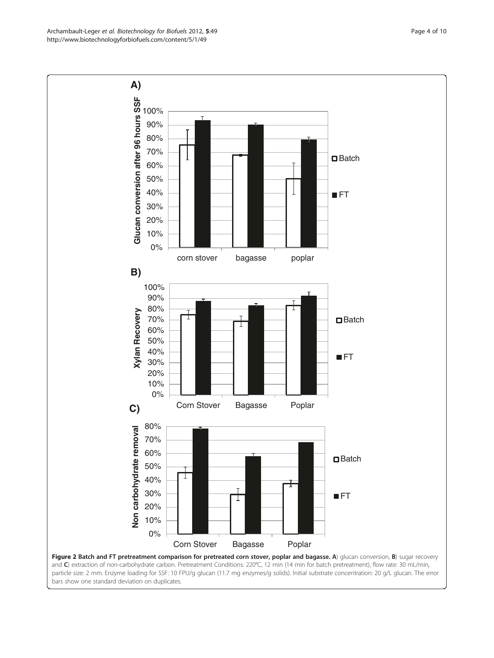<span id="page-3-0"></span>Archambault-Leger et al. Biotechnology for Biofuels 2012, 5:49 Page 4 of 10 http://www.biotechnologyforbiofuels.com/content/5/1/49



particle size: 2 mm. Enzyme loading for SSF: 10 FPU/g glucan (11.7 mg enzymes/g solids). Initial substrate concentration: 20 g/L glucan. The error bars show one standard deviation on duplicates.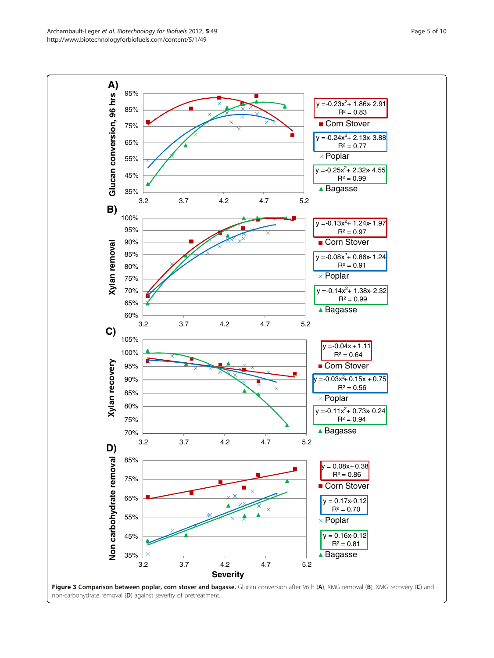<span id="page-4-0"></span>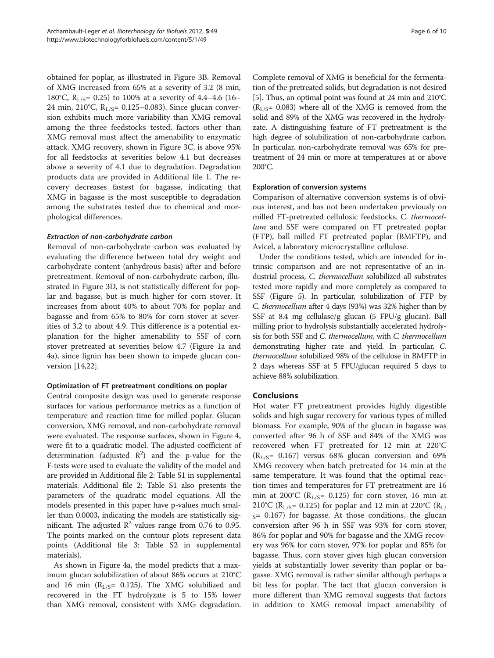obtained for poplar, as illustrated in Figure [3B.](#page-4-0) Removal of XMG increased from 65% at a severity of 3.2 (8 min, 180°C,  $R_{L/S}$ = 0.25) to 100% at a severity of 4.4–4.6 (16– 24 min, 210°C,  $R_{L/S}$ = 0.125–0.083). Since glucan conversion exhibits much more variability than XMG removal among the three feedstocks tested, factors other than XMG removal must affect the amenability to enzymatic attack. XMG recovery, shown in Figure [3C,](#page-4-0) is above 95% for all feedstocks at severities below 4.1 but decreases above a severity of 4.1 due to degradation. Degradation products data are provided in Additional file [1](#page-9-0). The recovery decreases fastest for bagasse, indicating that XMG in bagasse is the most susceptible to degradation among the substrates tested due to chemical and morphological differences.

# Extraction of non-carbohydrate carbon

Removal of non-carbohydrate carbon was evaluated by evaluating the difference between total dry weight and carbohydrate content (anhydrous basis) after and before pretreatment. Removal of non-carbohydrate carbon, illustrated in Figure [3D,](#page-4-0) is not statistically different for poplar and bagasse, but is much higher for corn stover. It increases from about 40% to about 70% for poplar and bagasse and from 65% to 80% for corn stover at severities of 3.2 to about 4.9. This difference is a potential explanation for the higher amenability to SSF of corn stover pretreated at severities below 4.7 (Figure [1a](#page-2-0) and [4a\)](#page-6-0), since lignin has been shown to impede glucan conversion [\[14,22\]](#page-9-0).

# Optimization of FT pretreatment conditions on poplar

Central composite design was used to generate response surfaces for various performance metrics as a function of temperature and reaction time for milled poplar. Glucan conversion, XMG removal, and non-carbohydrate removal were evaluated. The response surfaces, shown in Figure [4](#page-6-0), were fit to a quadratic model. The adjusted coefficient of determination (adjusted  $\mathbb{R}^2$ ) and the p-value for the F-tests were used to evaluate the validity of the model and are provided in Additional file [2:](#page-9-0) Table S1 in supplemental materials. Additional file [2:](#page-9-0) Table S1 also presents the parameters of the quadratic model equations. All the models presented in this paper have p-values much smaller than 0.0003, indicating the models are statistically significant. The adjusted  $\mathbb{R}^2$  values range from 0.76 to 0.95. The points marked on the contour plots represent data points (Additional file [3](#page-9-0): Table S2 in supplemental materials).

As shown in Figure [4a](#page-6-0), the model predicts that a maximum glucan solubilization of about 86% occurs at 210°C and 16 min ( $R_{L/S}$ = 0.125). The XMG solubilized and recovered in the FT hydrolyzate is 5 to 15% lower than XMG removal, consistent with XMG degradation. Complete removal of XMG is beneficial for the fermentation of the pretreated solids, but degradation is not desired [[5\]](#page-9-0). Thus, an optimal point was found at 24 min and 210°C  $(R<sub>L/S</sub>= 0.083)$  where all of the XMG is removed from the solid and 89% of the XMG was recovered in the hydrolyzate. A distinguishing feature of FT pretreatment is the high degree of solubilization of non-carbohydrate carbon. In particular, non-carbohydrate removal was 65% for pretreatment of 24 min or more at temperatures at or above 200°C.

# Exploration of conversion systems

Comparison of alternative conversion systems is of obvious interest, and has not been undertaken previously on milled FT-pretreated cellulosic feedstocks. C. thermocellum and SSF were compared on FT pretreated poplar (FTP), ball milled FT pretreated poplar (BMFTP), and Avicel, a laboratory microcrystalline cellulose.

Under the conditions tested, which are intended for intrinsic comparison and are not representative of an industrial process, C. thermocellum solubilized all substrates tested more rapidly and more completely as compared to SSF (Figure [5](#page-7-0)). In particular, solubilization of FTP by C. thermocellum after 4 days (93%) was 32% higher than by SSF at 8.4 mg cellulase/g glucan (5 FPU/g glucan). Ball milling prior to hydrolysis substantially accelerated hydrolysis for both SSF and C. thermocellum, with C. thermocellum demonstrating higher rate and yield. In particular, C. thermocellum solubilized 98% of the cellulose in BMFTP in 2 days whereas SSF at 5 FPU/glucan required 5 days to achieve 88% solubilization.

# Conclusions

Hot water FT pretreatment provides highly digestible solids and high sugar recovery for various types of milled biomass. For example, 90% of the glucan in bagasse was converted after 96 h of SSF and 84% of the XMG was recovered when FT pretreated for 12 min at 220°C  $(R<sub>L/S</sub>= 0.167)$  versus 68% glucan conversion and 69% XMG recovery when batch pretreated for 14 min at the same temperature. It was found that the optimal reaction times and temperatures for FT pretreatment are 16 min at 200°C ( $R_{L/S}$ = 0.125) for corn stover, 16 min at 210°C ( $R_{L/S}$ = 0.125) for poplar and 12 min at 220°C ( $R_{L/F}$ )  $_S$ = 0.167) for bagasse. At those conditions, the glucan conversion after 96 h in SSF was 93% for corn stover, 86% for poplar and 90% for bagasse and the XMG recovery was 96% for corn stover, 97% for poplar and 85% for bagasse. Thus, corn stover gives high glucan conversion yields at substantially lower severity than poplar or bagasse. XMG removal is rather similar although perhaps a bit less for poplar. The fact that glucan conversion is more different than XMG removal suggests that factors in addition to XMG removal impact amenability of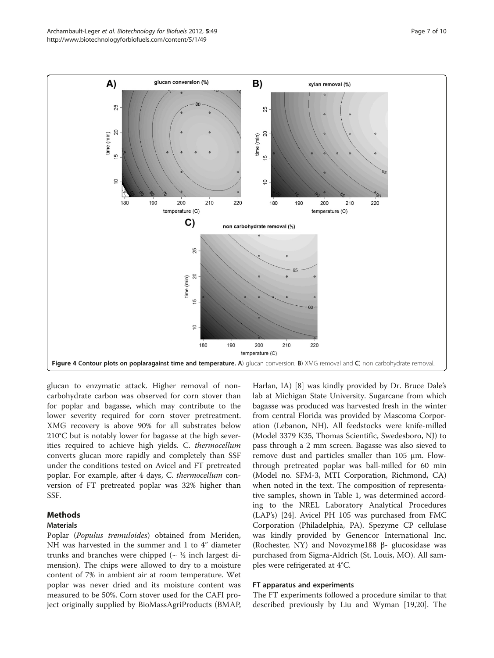<span id="page-6-0"></span>

glucan to enzymatic attack. Higher removal of noncarbohydrate carbon was observed for corn stover than for poplar and bagasse, which may contribute to the lower severity required for corn stover pretreatment. XMG recovery is above 90% for all substrates below 210°C but is notably lower for bagasse at the high severities required to achieve high yields. C. thermocellum converts glucan more rapidly and completely than SSF under the conditions tested on Avicel and FT pretreated poplar. For example, after 4 days, C. thermocellum conversion of FT pretreated poplar was 32% higher than SSF.

# Methods

# Materials

Poplar (Populus tremuloides) obtained from Meriden, NH was harvested in the summer and 1 to 4" diameter trunks and branches were chipped ( $\sim$  ½ inch largest dimension). The chips were allowed to dry to a moisture content of 7% in ambient air at room temperature. Wet poplar was never dried and its moisture content was measured to be 50%. Corn stover used for the CAFI project originally supplied by BioMassAgriProducts (BMAP,

Harlan, IA) [[8\]](#page-9-0) was kindly provided by Dr. Bruce Dale's lab at Michigan State University. Sugarcane from which bagasse was produced was harvested fresh in the winter from central Florida was provided by Mascoma Corporation (Lebanon, NH). All feedstocks were knife-milled (Model 3379 K35, Thomas Scientific, Swedesboro, NJ) to pass through a 2 mm screen. Bagasse was also sieved to remove dust and particles smaller than 105 μm. Flowthrough pretreated poplar was ball-milled for 60 min (Model no. SFM-3, MTI Corporation, Richmond, CA) when noted in the text. The composition of representative samples, shown in Table [1](#page-7-0), was determined according to the NREL Laboratory Analytical Procedures (LAP's) [\[24\]](#page-9-0). Avicel PH 105 was purchased from FMC Corporation (Philadelphia, PA). Spezyme CP cellulase was kindly provided by Genencor International Inc. (Rochester, NY) and Novozyme188 β- glucosidase was purchased from Sigma-Aldrich (St. Louis, MO). All samples were refrigerated at 4°C.

## FT apparatus and experiments

The FT experiments followed a procedure similar to that described previously by Liu and Wyman [\[19,20\]](#page-9-0). The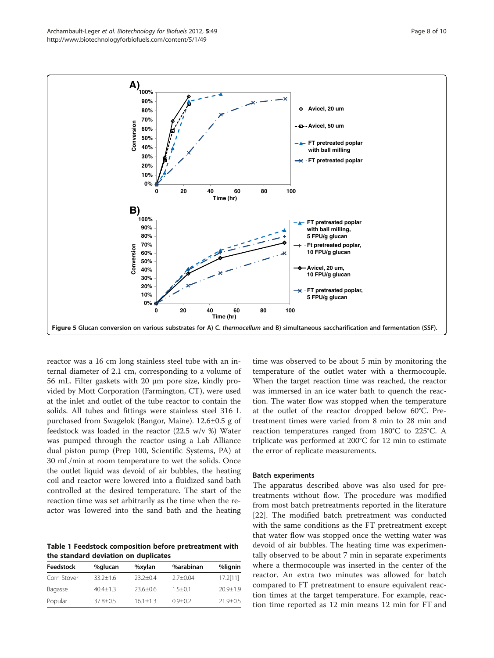<span id="page-7-0"></span>

**Time (hr)** Figure 5 Glucan conversion on various substrates for A) C. thermocellum and B) simultaneous saccharification and fermentation (SSF).

**0 20 40 60 80 100**

reactor was a 16 cm long stainless steel tube with an internal diameter of 2.1 cm, corresponding to a volume of 56 mL. Filter gaskets with 20 μm pore size, kindly provided by Mott Corporation (Farmington, CT), were used at the inlet and outlet of the tube reactor to contain the solids. All tubes and fittings were stainless steel 316 L purchased from Swagelok (Bangor, Maine). 12.6±0.5 g of feedstock was loaded in the reactor (22.5 w/v %) Water was pumped through the reactor using a Lab Alliance dual piston pump (Prep 100, Scientific Systems, PA) at 30 mL/min at room temperature to wet the solids. Once the outlet liquid was devoid of air bubbles, the heating coil and reactor were lowered into a fluidized sand bath controlled at the desired temperature. The start of the reaction time was set arbitrarily as the time when the reactor was lowered into the sand bath and the heating

**0%**

Table 1 Feedstock composition before pretreatment with the standard deviation on duplicates

| Feedstock   | %glucan      | %xylan       | %arabinan    | %lignin      |
|-------------|--------------|--------------|--------------|--------------|
| Corn Stover | $33.2 + 1.6$ | $23.2+0.4$   | $2.7 + 0.04$ | 17.2[11]     |
| Bagasse     | $40.4 + 1.3$ | $23.6 + 0.6$ | $1.5 + 0.1$  | $20.9 + 1.9$ |
| Popular     | $37.8 + 0.5$ | $16.1 + 1.3$ | $0.9 + 0.2$  | $21.9 + 0.5$ |

time was observed to be about 5 min by monitoring the temperature of the outlet water with a thermocouple. When the target reaction time was reached, the reactor was immersed in an ice water bath to quench the reaction. The water flow was stopped when the temperature at the outlet of the reactor dropped below 60°C. Pretreatment times were varied from 8 min to 28 min and reaction temperatures ranged from 180°C to 225°C. A triplicate was performed at 200°C for 12 min to estimate the error of replicate measurements.

## Batch experiments

The apparatus described above was also used for pretreatments without flow. The procedure was modified from most batch pretreatments reported in the literature [[22\]](#page-9-0). The modified batch pretreatment was conducted with the same conditions as the FT pretreatment except that water flow was stopped once the wetting water was devoid of air bubbles. The heating time was experimentally observed to be about 7 min in separate experiments where a thermocouple was inserted in the center of the reactor. An extra two minutes was allowed for batch compared to FT pretreatment to ensure equivalent reaction times at the target temperature. For example, reaction time reported as 12 min means 12 min for FT and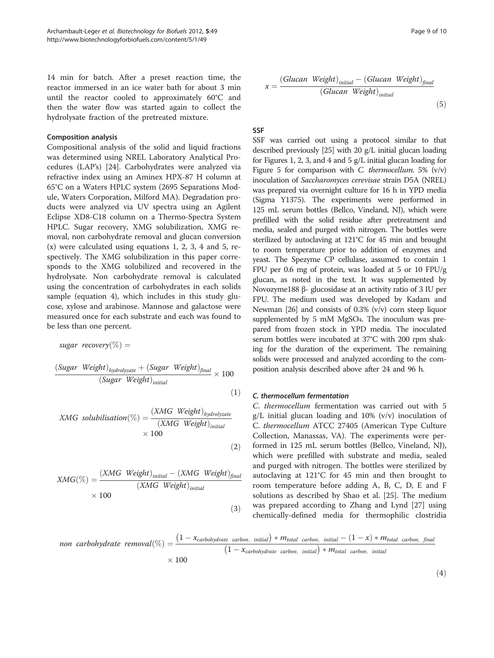14 min for batch. After a preset reaction time, the reactor immersed in an ice water bath for about 3 min until the reactor cooled to approximately 60°C and then the water flow was started again to collect the hydrolysate fraction of the pretreated mixture.

## Composition analysis

Compositional analysis of the solid and liquid fractions was determined using NREL Laboratory Analytical Procedures (LAP's) [[24](#page-9-0)]. Carbohydrates were analyzed via refractive index using an Aminex HPX-87 H column at 65°C on a Waters HPLC system (2695 Separations Module, Waters Corporation, Milford MA). Degradation products were analyzed via UV spectra using an Agilent Eclipse XD8-C18 column on a Thermo-Spectra System HPLC. Sugar recovery, XMG solubilization, XMG removal, non carbohydrate removal and glucan conversion (x) were calculated using equations 1, 2, 3, 4 and 5, respectively. The XMG solubilization in this paper corresponds to the XMG solubilized and recovered in the hydrolysate. Non carbohydrate removal is calculated using the concentration of carbohydrates in each solids sample (equation 4), which includes in this study glucose, xylose and arabinose. Mannose and galactose were measured once for each substrate and each was found to be less than one percent.

sugar recovery $(\%) =$ 

$$
\frac{(Sugar \ Weight)_{hydrolyzate} + (Sugar \ Weight)_{final}}{(Sugar \ Weight)_{initial}} \times 100
$$
\n(1)

$$
XMG\; solution(\%) = \frac{(XMG\; Weight)_{hydrolyzate}}{(XMG\; Weight)_{initial}}\times 100
$$
\n(2)

$$
XMG(\%) = \frac{(XMG\ Weight)_{initial} - (XMG\ Weight)_{final}}{(XMG\ Weight)_{initial}} \times 100
$$
\n(3)

$$
x = \frac{(Glucan Weight)_{initial} - (Glucan Weight)_{final}}{(Glucan Weight)_{initial}}
$$
\n(5)

SSF

SSF was carried out using a protocol similar to that described previously [\[25](#page-9-0)] with 20 g/L initial glucan loading for Figures [1](#page-2-0), [2,](#page-3-0) [3,](#page-4-0) and [4](#page-6-0) and 5 g/L initial glucan loading for Figure [5](#page-7-0) for comparison with C. thermocellum. 5%  $(v/v)$ inoculation of Saccharomyces cerevisae strain D5A (NREL) was prepared via overnight culture for 16 h in YPD media (Sigma Y1375). The experiments were performed in 125 mL serum bottles (Bellco, Vineland, NJ), which were prefilled with the solid residue after pretreatment and media, sealed and purged with nitrogen. The bottles were sterilized by autoclaving at 121°C for 45 min and brought to room temperature prior to addition of enzymes and yeast. The Spezyme CP cellulase, assumed to contain 1 FPU per 0.6 mg of protein, was loaded at 5 or 10 FPU/g glucan, as noted in the text. It was supplemented by Novozyme188 β- glucosidase at an activity ratio of 3 IU per FPU. The medium used was developed by Kadam and Newman [\[26](#page-9-0)] and consists of 0.3% (v/v) corn steep liquor supplemented by 5 mM MgSO4. The inoculum was prepared from frozen stock in YPD media. The inoculated serum bottles were incubated at 37°C with 200 rpm shaking for the duration of the experiment. The remaining solids were processed and analyzed according to the composition analysis described above after 24 and 96 h.

# C. thermocellum fermentation

C. thermocellum fermentation was carried out with 5  $g/L$  initial glucan loading and 10% (v/v) inoculation of C. thermocellum ATCC 27405 (American Type Culture Collection, Manassas, VA). The experiments were performed in 125 mL serum bottles (Bellco, Vineland, NJ), which were prefilled with substrate and media, sealed and purged with nitrogen. The bottles were sterilized by autoclaving at 121°C for 45 min and then brought to room temperature before adding A, B, C, D, E and F solutions as described by Shao et al. [[25](#page-9-0)]. The medium was prepared according to Zhang and Lynd [\[27](#page-9-0)] using chemically-defined media for thermophilic clostridia

non carbohydrate removal(
$$
\%
$$
) =  $\frac{(1 - x_{carbohydrate carbon, initial}) * M_{total carbon, initial} - (1 - x) * M_{total carbon, final}}{(1 - x_{carbohydrate carbon, initial}) * M_{total carbon, initial}}$   
× 100

 $(4)$